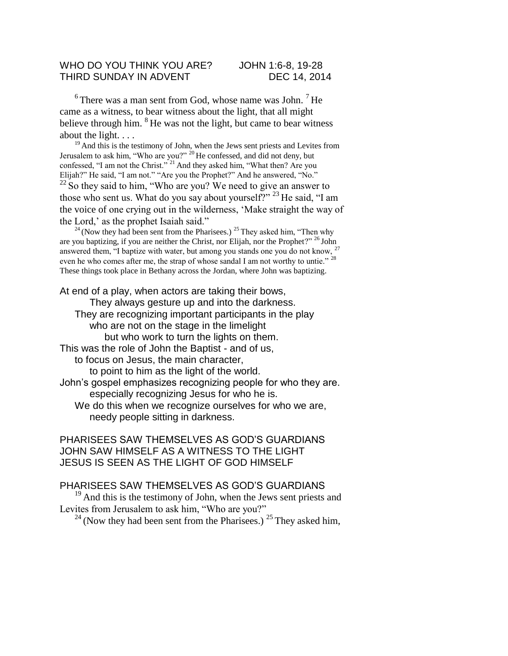## WHO DO YOU THINK YOU ARE? JOHN 1:6-8, 19-28 THIRD SUNDAY IN ADVENT DEC 14, 2014

 $6$  There was a man sent from God, whose name was John.  $7$  He came as a witness, to bear witness about the light, that all might believe through him.  ${}^{8}$  He was not the light, but came to bear witness

about the light. . . . <sup>19</sup> And this is the testimony of John, when the Jews sent priests and Levites from Jerusalem to ask him, "Who are you?" <sup>20</sup> He confessed, and did not deny, but

confessed, "I am not the Christ."<sup>21</sup> And they asked him, "What then? Are you Elijah?" He said, "I am not." "Are you the Prophet?" And he answered, "No."

 $22$  So they said to him, "Who are you? We need to give an answer to those who sent us. What do you say about yourself?" <sup>23</sup> He said, "I am the voice of one crying out in the wilderness, 'Make straight the way of the Lord,' as the prophet Isaiah said."

 $24$  (Now they had been sent from the Pharisees.)  $25$  They asked him, "Then why are you baptizing, if you are neither the Christ, nor Elijah, nor the Prophet?"  $^{26}$  John answered them, "I baptize with water, but among you stands one you do not know, <sup>27</sup> even he who comes after me, the strap of whose sandal I am not worthy to untie."<sup>28</sup> These things took place in Bethany across the Jordan, where John was baptizing.

At end of a play, when actors are taking their bows,

They always gesture up and into the darkness. They are recognizing important participants in the play who are not on the stage in the limelight but who work to turn the lights on them.

This was the role of John the Baptist - and of us,

to focus on Jesus, the main character,

to point to him as the light of the world.

John's gospel emphasizes recognizing people for who they are. especially recognizing Jesus for who he is.

We do this when we recognize ourselves for who we are, needy people sitting in darkness.

## PHARISEES SAW THEMSELVES AS GOD'S GUARDIANS JOHN SAW HIMSELF AS A WITNESS TO THE LIGHT JESUS IS SEEN AS THE LIGHT OF GOD HIMSELF

## PHARISEES SAW THEMSELVES AS GOD'S GUARDIANS

 $19$  And this is the testimony of John, when the Jews sent priests and Levites from Jerusalem to ask him, "Who are you?"

 $^{24}$  (Now they had been sent from the Pharisees.)  $^{25}$  They asked him,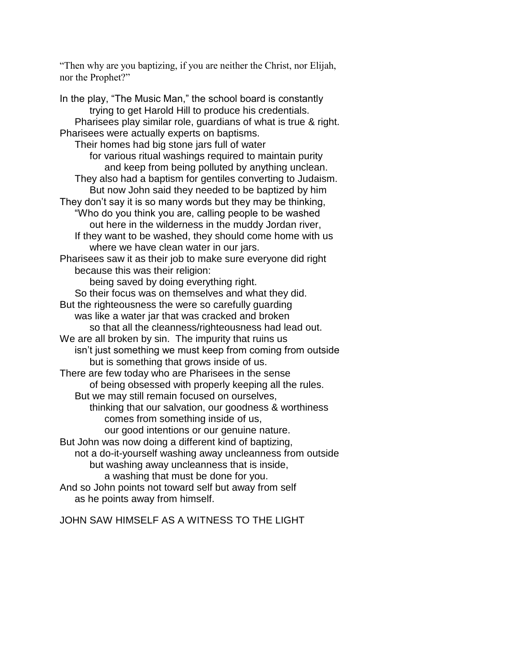"Then why are you baptizing, if you are neither the Christ, nor Elijah, nor the Prophet?"

In the play, "The Music Man," the school board is constantly trying to get Harold Hill to produce his credentials. Pharisees play similar role, guardians of what is true & right. Pharisees were actually experts on baptisms. Their homes had big stone jars full of water for various ritual washings required to maintain purity and keep from being polluted by anything unclean. They also had a baptism for gentiles converting to Judaism. But now John said they needed to be baptized by him They don't say it is so many words but they may be thinking, "Who do you think you are, calling people to be washed out here in the wilderness in the muddy Jordan river, If they want to be washed, they should come home with us where we have clean water in our jars. Pharisees saw it as their job to make sure everyone did right because this was their religion: being saved by doing everything right. So their focus was on themselves and what they did. But the righteousness the were so carefully guarding was like a water jar that was cracked and broken so that all the cleanness/righteousness had lead out. We are all broken by sin. The impurity that ruins us isn't just something we must keep from coming from outside but is something that grows inside of us. There are few today who are Pharisees in the sense of being obsessed with properly keeping all the rules. But we may still remain focused on ourselves, thinking that our salvation, our goodness & worthiness comes from something inside of us, our good intentions or our genuine nature. But John was now doing a different kind of baptizing, not a do-it-yourself washing away uncleanness from outside but washing away uncleanness that is inside, a washing that must be done for you. And so John points not toward self but away from self as he points away from himself.

JOHN SAW HIMSELF AS A WITNESS TO THE LIGHT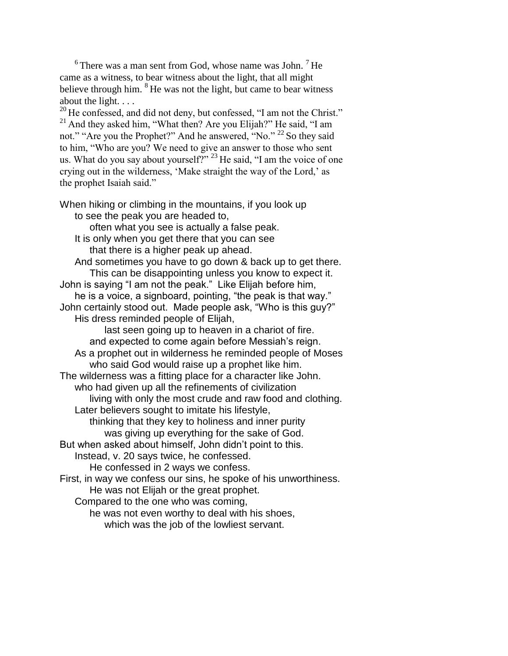$6$  There was a man sent from God, whose name was John.  $7$  He came as a witness, to bear witness about the light, that all might believe through him.  ${}^{8}$  He was not the light, but came to bear witness about the light. . . .

<sup>20</sup> He confessed, and did not deny, but confessed, "I am not the Christ."  $21$  And they asked him, "What then? Are you Elijah?" He said, "I am not." "Are you the Prophet?" And he answered, "No." <sup>22</sup> So they said to him, "Who are you? We need to give an answer to those who sent us. What do you say about yourself?"  $^{23}$  He said, "I am the voice of one crying out in the wilderness, 'Make straight the way of the Lord,' as the prophet Isaiah said."

When hiking or climbing in the mountains, if you look up to see the peak you are headed to, often what you see is actually a false peak. It is only when you get there that you can see that there is a higher peak up ahead. And sometimes you have to go down & back up to get there. This can be disappointing unless you know to expect it. John is saying "I am not the peak." Like Elijah before him, he is a voice, a signboard, pointing, "the peak is that way." John certainly stood out. Made people ask, "Who is this guy?" His dress reminded people of Elijah, last seen going up to heaven in a chariot of fire. and expected to come again before Messiah's reign. As a prophet out in wilderness he reminded people of Moses who said God would raise up a prophet like him. The wilderness was a fitting place for a character like John. who had given up all the refinements of civilization living with only the most crude and raw food and clothing. Later believers sought to imitate his lifestyle, thinking that they key to holiness and inner purity was giving up everything for the sake of God. But when asked about himself, John didn't point to this. Instead, v. 20 says twice, he confessed. He confessed in 2 ways we confess. First, in way we confess our sins, he spoke of his unworthiness. He was not Elijah or the great prophet. Compared to the one who was coming, he was not even worthy to deal with his shoes,

which was the job of the lowliest servant.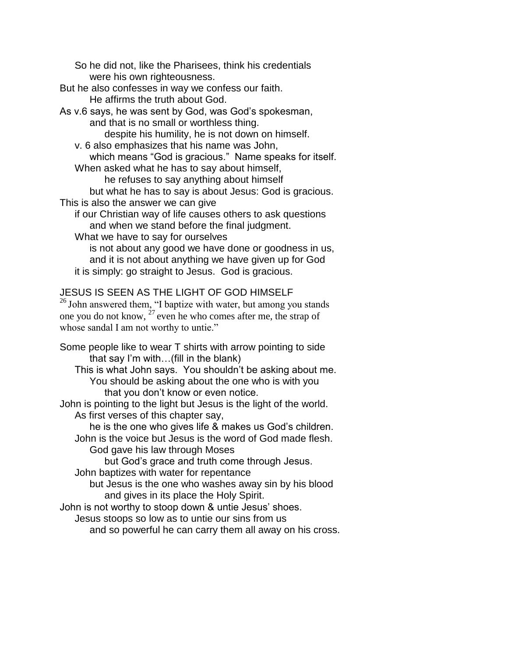So he did not, like the Pharisees, think his credentials were his own righteousness.

But he also confesses in way we confess our faith. He affirms the truth about God.

As v.6 says, he was sent by God, was God's spokesman, and that is no small or worthless thing.

despite his humility, he is not down on himself.

v. 6 also emphasizes that his name was John,

which means "God is gracious." Name speaks for itself. When asked what he has to say about himself,

he refuses to say anything about himself

but what he has to say is about Jesus: God is gracious. This is also the answer we can give

if our Christian way of life causes others to ask questions and when we stand before the final judgment.

What we have to say for ourselves

is not about any good we have done or goodness in us, and it is not about anything we have given up for God it is simply: go straight to Jesus. God is gracious.

## JESUS IS SEEN AS THE LIGHT OF GOD HIMSELF

<sup>26</sup> John answered them, "I baptize with water, but among you stands one you do not know,  $27$  even he who comes after me, the strap of whose sandal I am not worthy to untie."

Some people like to wear T shirts with arrow pointing to side that say I'm with…(fill in the blank)

This is what John says. You shouldn't be asking about me. You should be asking about the one who is with you that you don't know or even notice.

John is pointing to the light but Jesus is the light of the world. As first verses of this chapter say,

he is the one who gives life & makes us God's children. John is the voice but Jesus is the word of God made flesh.

God gave his law through Moses

but God's grace and truth come through Jesus.

John baptizes with water for repentance

but Jesus is the one who washes away sin by his blood and gives in its place the Holy Spirit.

John is not worthy to stoop down & untie Jesus' shoes.

Jesus stoops so low as to untie our sins from us

and so powerful he can carry them all away on his cross.